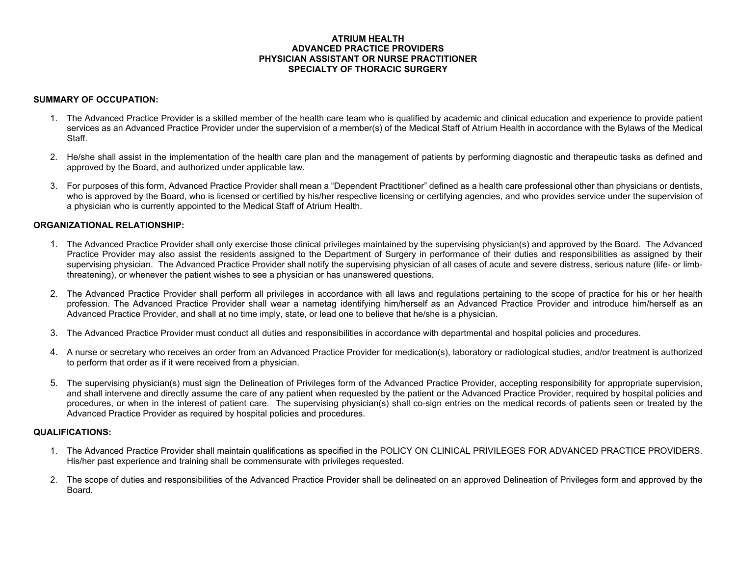## **ATRIUM HEALTH ADVANCED PRACTICE PROVIDERS PHYSICIAN ASSISTANT OR NURSE PRACTITIONER SPECIALTY OF THORACIC SURGERY**

## **SUMMARY OF OCCUPATION:**

- 1. The Advanced Practice Provider is a skilled member of the health care team who is qualified by academic and clinical education and experience to provide patient services as an Advanced Practice Provider under the supervision of a member(s) of the Medical Staff of Atrium Health in accordance with the Bylaws of the Medical Staff.
- 2. He/she shall assist in the implementation of the health care plan and the management of patients by performing diagnostic and therapeutic tasks as defined and approved by the Board, and authorized under applicable law.
- 3. For purposes of this form, Advanced Practice Provider shall mean a "Dependent Practitioner" defined as a health care professional other than physicians or dentists, who is approved by the Board, who is licensed or certified by his/her respective licensing or certifying agencies, and who provides service under the supervision of a physician who is currently appointed to the Medical Staff of Atrium Health.

# **ORGANIZATIONAL RELATIONSHIP:**

- 1. The Advanced Practice Provider shall only exercise those clinical privileges maintained by the supervising physician(s) and approved by the Board. The Advanced Practice Provider may also assist the residents assigned to the Department of Surgery in performance of their duties and responsibilities as assigned by their supervising physician. The Advanced Practice Provider shall notify the supervising physician of all cases of acute and severe distress, serious nature (life- or limbthreatening), or whenever the patient wishes to see a physician or has unanswered questions.
- 2. The Advanced Practice Provider shall perform all privileges in accordance with all laws and regulations pertaining to the scope of practice for his or her health profession. The Advanced Practice Provider shall wear a nametag identifying him/herself as an Advanced Practice Provider and introduce him/herself as an Advanced Practice Provider, and shall at no time imply, state, or lead one to believe that he/she is a physician.
- 3. The Advanced Practice Provider must conduct all duties and responsibilities in accordance with departmental and hospital policies and procedures.
- 4. A nurse or secretary who receives an order from an Advanced Practice Provider for medication(s), laboratory or radiological studies, and/or treatment is authorized to perform that order as if it were received from a physician.
- 5. The supervising physician(s) must sign the Delineation of Privileges form of the Advanced Practice Provider, accepting responsibility for appropriate supervision, and shall intervene and directly assume the care of any patient when requested by the patient or the Advanced Practice Provider, required by hospital policies and procedures, or when in the interest of patient care. The supervising physician(s) shall co-sign entries on the medical records of patients seen or treated by the Advanced Practice Provider as required by hospital policies and procedures.

# **QUALIFICATIONS:**

- 1. The Advanced Practice Provider shall maintain qualifications as specified in the POLICY ON CLINICAL PRIVILEGES FOR ADVANCED PRACTICE PROVIDERS. His/her past experience and training shall be commensurate with privileges requested.
- 2. The scope of duties and responsibilities of the Advanced Practice Provider shall be delineated on an approved Delineation of Privileges form and approved by the Board.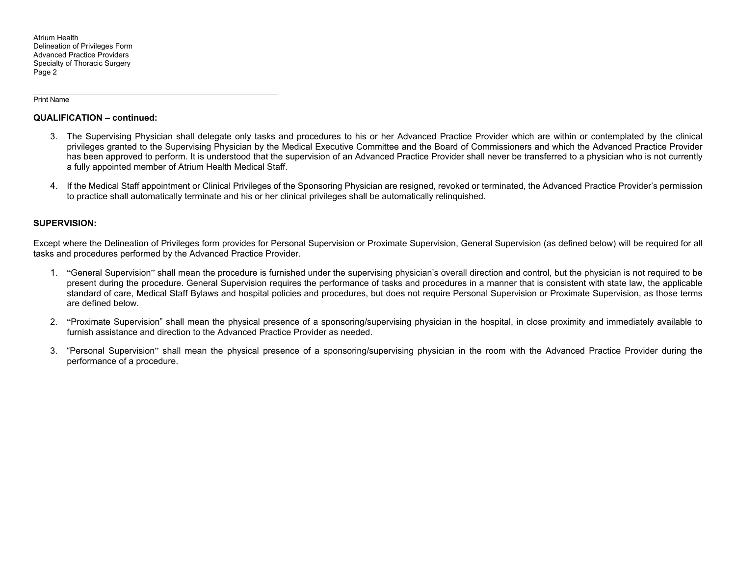### Print Name

### **QUALIFICATION – continued:**

- 3. The Supervising Physician shall delegate only tasks and procedures to his or her Advanced Practice Provider which are within or contemplated by the clinical privileges granted to the Supervising Physician by the Medical Executive Committee and the Board of Commissioners and which the Advanced Practice Provider has been approved to perform. It is understood that the supervision of an Advanced Practice Provider shall never be transferred to a physician who is not currently a fully appointed member of Atrium Health Medical Staff.
- 4. If the Medical Staff appointment or Clinical Privileges of the Sponsoring Physician are resigned, revoked or terminated, the Advanced Practice Provider's permission to practice shall automatically terminate and his or her clinical privileges shall be automatically relinquished.

### **SUPERVISION:**

Except where the Delineation of Privileges form provides for Personal Supervision or Proximate Supervision, General Supervision (as defined below) will be required for all tasks and procedures performed by the Advanced Practice Provider.

- 1. "General Supervision" shall mean the procedure is furnished under the supervising physician's overall direction and control, but the physician is not required to be present during the procedure. General Supervision requires the performance of tasks and procedures in a manner that is consistent with state law, the applicable standard of care, Medical Staff Bylaws and hospital policies and procedures, but does not require Personal Supervision or Proximate Supervision, as those terms are defined below.
- 2. "Proximate Supervision" shall mean the physical presence of a sponsoring/supervising physician in the hospital, in close proximity and immediately available to furnish assistance and direction to the Advanced Practice Provider as needed.
- 3. "Personal Supervision" shall mean the physical presence of a sponsoring/supervising physician in the room with the Advanced Practice Provider during the performance of a procedure.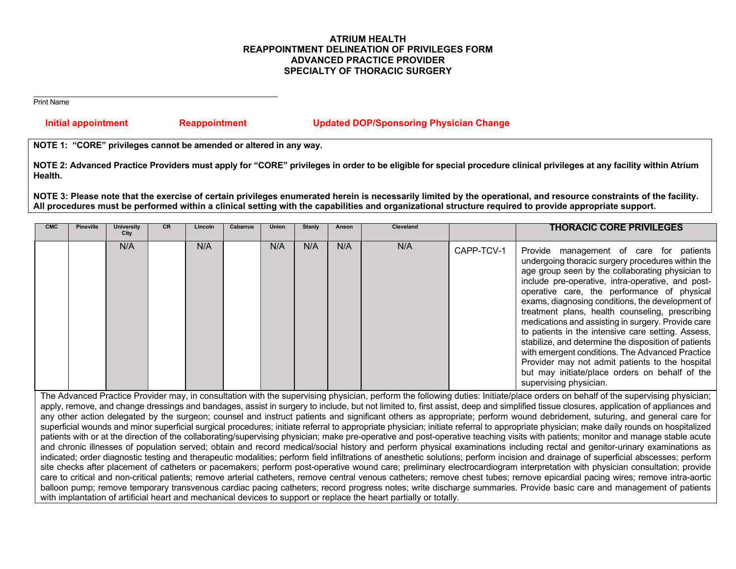# **ATRIUM HEALTH REAPPOINTMENT DELINEATION OF PRIVILEGES FORM ADVANCED PRACTICE PROVIDER SPECIALTY OF THORACIC SURGERY**

Print Name

# **Initial appointment Reappointment Updated DOP/Sponsoring Physician Change**

**NOTE 1: "CORE" privileges cannot be amended or altered in any way.** 

**NOTE 2: Advanced Practice Providers must apply for "CORE" privileges in order to be eligible for special procedure clinical privileges at any facility within Atrium Health.** 

**NOTE 3: Please note that the exercise of certain privileges enumerated herein is necessarily limited by the operational, and resource constraints of the facility. All procedures must be performed within a clinical setting with the capabilities and organizational structure required to provide appropriate support.** 

| <b>CMC</b> | <b>Pineville</b> | <b>University</b><br>City | <b>CR</b> | Lincoln | Cabarrus | Union | <b>Stanly</b> | Anson | Cleveland |            | <b>THORACIC CORE PRIVILEGES</b>                                                                                                                                                                                                                                                                                                                                                                                                                                                                                                                                                                                                                                                                                   |
|------------|------------------|---------------------------|-----------|---------|----------|-------|---------------|-------|-----------|------------|-------------------------------------------------------------------------------------------------------------------------------------------------------------------------------------------------------------------------------------------------------------------------------------------------------------------------------------------------------------------------------------------------------------------------------------------------------------------------------------------------------------------------------------------------------------------------------------------------------------------------------------------------------------------------------------------------------------------|
|            |                  | N/A                       |           | N/A     |          | N/A   | N/A           | N/A   | N/A       | CAPP-TCV-1 | Provide management of care for patients<br>undergoing thoracic surgery procedures within the<br>age group seen by the collaborating physician to<br>include pre-operative, intra-operative, and post-<br>operative care, the performance of physical<br>exams, diagnosing conditions, the development of<br>treatment plans, health counseling, prescribing<br>medications and assisting in surgery. Provide care<br>to patients in the intensive care setting. Assess,<br>stabilize, and determine the disposition of patients<br>with emergent conditions. The Advanced Practice<br>Provider may not admit patients to the hospital<br>but may initiate/place orders on behalf of the<br>supervising physician. |

The Advanced Practice Provider may, in consultation with the supervising physician, perform the following duties: Initiate/place orders on behalf of the supervising physician; apply, remove, and change dressings and bandages, assist in surgery to include, but not limited to, first assist, deep and simplified tissue closures, application of appliances and any other action delegated by the surgeon; counsel and instruct patients and significant others as appropriate; perform wound debridement, suturing, and general care for superficial wounds and minor superficial surgical procedures; initiate referral to appropriate physician; initiate referral to appropriate physician; make daily rounds on hospitalized patients with or at the direction of the collaborating/supervising physician; make pre-operative and post-operative teaching visits with patients; monitor and manage stable acute and chronic illnesses of population served; obtain and record medical/social history and perform physical examinations including rectal and genitor-urinary examinations as indicated; order diagnostic testing and therapeutic modalities; perform field infiltrations of anesthetic solutions; perform incision and drainage of superficial abscesses; perform site checks after placement of catheters or pacemakers; perform post-operative wound care; preliminary electrocardiogram interpretation with physician consultation; provide care to critical and non-critical patients; remove arterial catheters, remove central venous catheters; remove chest tubes; remove epicardial pacing wires; remove intra-aortic balloon pump; remove temporary transvenous cardiac pacing catheters; record progress notes; write discharge summaries. Provide basic care and management of patients with implantation of artificial heart and mechanical devices to support or replace the heart partially or totally.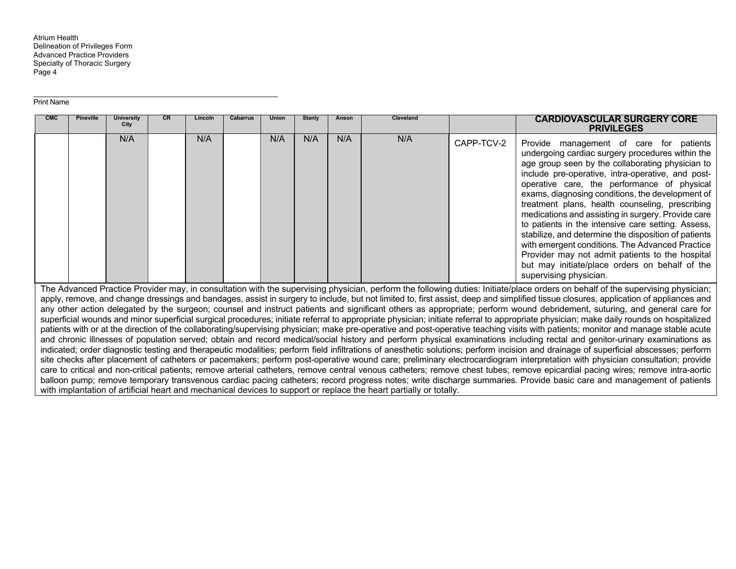### Print Name

| <b>CMC</b> | <b>Pineville</b>                                                                                                                                                                                                                                                                                                                                                  | <b>University</b><br>City | <b>CR</b> | Lincoln | <b>Cabarrus</b> | <b>Union</b> | Stanly | Anson | Cleveland |            | <b>CARDIOVASCULAR SURGERY CORE</b><br><b>PRIVILEGES</b>                                                                                                                                                                                                                                                                                                                                                                                                                                                                                                                                                                                                                                                          |
|------------|-------------------------------------------------------------------------------------------------------------------------------------------------------------------------------------------------------------------------------------------------------------------------------------------------------------------------------------------------------------------|---------------------------|-----------|---------|-----------------|--------------|--------|-------|-----------|------------|------------------------------------------------------------------------------------------------------------------------------------------------------------------------------------------------------------------------------------------------------------------------------------------------------------------------------------------------------------------------------------------------------------------------------------------------------------------------------------------------------------------------------------------------------------------------------------------------------------------------------------------------------------------------------------------------------------------|
|            |                                                                                                                                                                                                                                                                                                                                                                   | N/A                       |           | N/A     |                 | N/A          | N/A    | N/A   | N/A       | CAPP-TCV-2 | Provide management of care for patients<br>undergoing cardiac surgery procedures within the<br>age group seen by the collaborating physician to<br>include pre-operative, intra-operative, and post-<br>operative care, the performance of physical<br>exams, diagnosing conditions, the development of<br>treatment plans, health counseling, prescribing<br>medications and assisting in surgery. Provide care<br>to patients in the intensive care setting. Assess,<br>stabilize, and determine the disposition of patients<br>with emergent conditions. The Advanced Practice<br>Provider may not admit patients to the hospital<br>but may initiate/place orders on behalf of the<br>supervising physician. |
|            |                                                                                                                                                                                                                                                                                                                                                                   |                           |           |         |                 |              |        |       |           |            | The Advanced Practice Provider may, in consultation with the supervising physician, perform the following duties: Initiate/place orders on behalf of the supervising physician;<br>apply, remove, and change dressings and bandages, assist in surgery to include, but not limited to, first assist, deep and simplified tissue closures, application of appliances and                                                                                                                                                                                                                                                                                                                                          |
|            |                                                                                                                                                                                                                                                                                                                                                                   |                           |           |         |                 |              |        |       |           |            | any other action delegated by the surgeon; counsel and instruct patients and significant others as appropriate; perform wound debridement, suturing, and general care for                                                                                                                                                                                                                                                                                                                                                                                                                                                                                                                                        |
|            | superficial wounds and minor superficial surgical procedures; initiate referral to appropriate physician; initiate referral to appropriate physician; make daily rounds on hospitalized                                                                                                                                                                           |                           |           |         |                 |              |        |       |           |            |                                                                                                                                                                                                                                                                                                                                                                                                                                                                                                                                                                                                                                                                                                                  |
|            | patients with or at the direction of the collaborating/supervising physician; make pre-operative and post-operative teaching visits with patients; monitor and manage stable acute<br>and chronic illnesses of population served; obtain and record medical/social history and perform physical examinations including rectal and genitor-urinary examinations as |                           |           |         |                 |              |        |       |           |            |                                                                                                                                                                                                                                                                                                                                                                                                                                                                                                                                                                                                                                                                                                                  |
|            |                                                                                                                                                                                                                                                                                                                                                                   |                           |           |         |                 |              |        |       |           |            | indicated; order diagnostic testing and therapeutic modalities; perform field infiltrations of anesthetic solutions; perform incision and drainage of superficial abscesses; perform                                                                                                                                                                                                                                                                                                                                                                                                                                                                                                                             |
|            |                                                                                                                                                                                                                                                                                                                                                                   |                           |           |         |                 |              |        |       |           |            | site checks after placement of catheters or pacemakers; perform post-operative wound care; preliminary electrocardiogram interpretation with physician consultation; provide                                                                                                                                                                                                                                                                                                                                                                                                                                                                                                                                     |

care to critical and non-critical patients; remove arterial catheters, remove central venous catheters; remove chest tubes; remove epicardial pacing wires; remove intra-aortic balloon pump; remove temporary transvenous cardiac pacing catheters; record progress notes; write discharge summaries. Provide basic care and management of patients with implantation of artificial heart and mechanical devices to support or replace the heart partially or totally.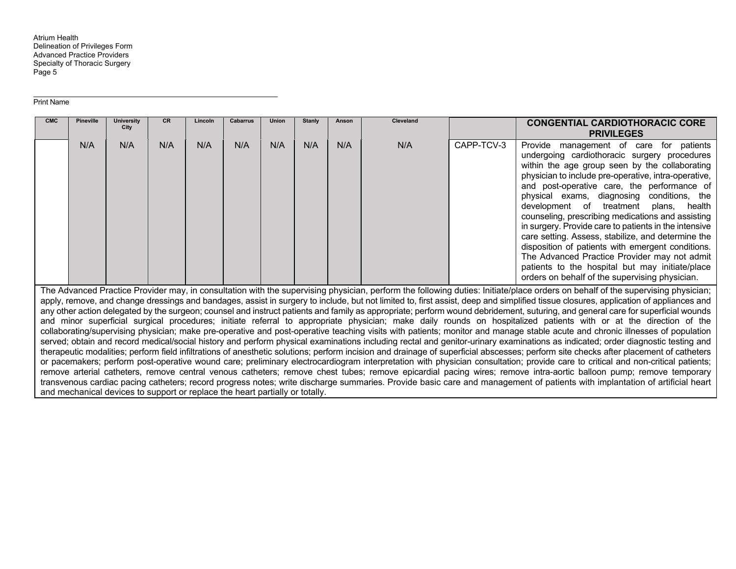#### Print Name

| <b>CMC</b>                                                                                                                                                                                                                                                                                                                                                                                                                                                                                                                                                                                                                                                                                                                                                                                                                                                                                                                                                                                                                                                                                                                                                                                                                                                                                                                                                                                                                                                                                                                                                                                                                                                                                                                                                                                                                                                                                                            | <b>Pineville</b> | <b>University</b><br>City | <b>CR</b> | Lincoln | <b>Cabarrus</b> | <b>Union</b> | <b>Stanly</b> | Anson | Cleveland |            | <b>CONGENTIAL CARDIOTHORACIC CORE</b><br><b>PRIVILEGES</b>                                                                                                                                                                                                                                                                                                                                                                                                                                                                                                                                                                                                                                                                      |
|-----------------------------------------------------------------------------------------------------------------------------------------------------------------------------------------------------------------------------------------------------------------------------------------------------------------------------------------------------------------------------------------------------------------------------------------------------------------------------------------------------------------------------------------------------------------------------------------------------------------------------------------------------------------------------------------------------------------------------------------------------------------------------------------------------------------------------------------------------------------------------------------------------------------------------------------------------------------------------------------------------------------------------------------------------------------------------------------------------------------------------------------------------------------------------------------------------------------------------------------------------------------------------------------------------------------------------------------------------------------------------------------------------------------------------------------------------------------------------------------------------------------------------------------------------------------------------------------------------------------------------------------------------------------------------------------------------------------------------------------------------------------------------------------------------------------------------------------------------------------------------------------------------------------------|------------------|---------------------------|-----------|---------|-----------------|--------------|---------------|-------|-----------|------------|---------------------------------------------------------------------------------------------------------------------------------------------------------------------------------------------------------------------------------------------------------------------------------------------------------------------------------------------------------------------------------------------------------------------------------------------------------------------------------------------------------------------------------------------------------------------------------------------------------------------------------------------------------------------------------------------------------------------------------|
|                                                                                                                                                                                                                                                                                                                                                                                                                                                                                                                                                                                                                                                                                                                                                                                                                                                                                                                                                                                                                                                                                                                                                                                                                                                                                                                                                                                                                                                                                                                                                                                                                                                                                                                                                                                                                                                                                                                       | N/A              | N/A                       | N/A       | N/A     | N/A             | N/A          | N/A           | N/A   | N/A       | CAPP-TCV-3 | Provide<br>management of care for patients<br>undergoing cardiothoracic surgery procedures<br>within the age group seen by the collaborating<br>physician to include pre-operative, intra-operative,<br>and post-operative care, the performance of<br>physical exams, diagnosing conditions, the<br>development of treatment<br>plans,<br>health<br>counseling, prescribing medications and assisting<br>in surgery. Provide care to patients in the intensive<br>care setting. Assess, stabilize, and determine the<br>disposition of patients with emergent conditions.<br>The Advanced Practice Provider may not admit<br>patients to the hospital but may initiate/place<br>orders on behalf of the supervising physician. |
| The Advanced Practice Provider may, in consultation with the supervising physician, perform the following duties: Initiate/place orders on behalf of the supervising physician;<br>apply, remove, and change dressings and bandages, assist in surgery to include, but not limited to, first assist, deep and simplified tissue closures, application of appliances and<br>any other action delegated by the surgeon; counsel and instruct patients and family as appropriate; perform wound debridement, suturing, and general care for superficial wounds<br>and minor superficial surgical procedures; initiate referral to appropriate physician; make daily rounds on hospitalized patients with or at the direction of the<br>collaborating/supervising physician; make pre-operative and post-operative teaching visits with patients; monitor and manage stable acute and chronic illnesses of population<br>served; obtain and record medical/social history and perform physical examinations including rectal and genitor-urinary examinations as indicated; order diagnostic testing and<br>therapeutic modalities; perform field infiltrations of anesthetic solutions; perform incision and drainage of superficial abscesses; perform site checks after placement of catheters<br>or pacemakers; perform post-operative wound care; preliminary electrocardiogram interpretation with physician consultation; provide care to critical and non-critical patients;<br>remove arterial catheters, remove central venous catheters; remove chest tubes; remove epicardial pacing wires; remove intra-aortic balloon pump; remove temporary<br>transvenous cardiac pacing catheters; record progress notes; write discharge summaries. Provide basic care and management of patients with implantation of artificial heart<br>and mechanical devices to support or replace the heart partially or totally. |                  |                           |           |         |                 |              |               |       |           |            |                                                                                                                                                                                                                                                                                                                                                                                                                                                                                                                                                                                                                                                                                                                                 |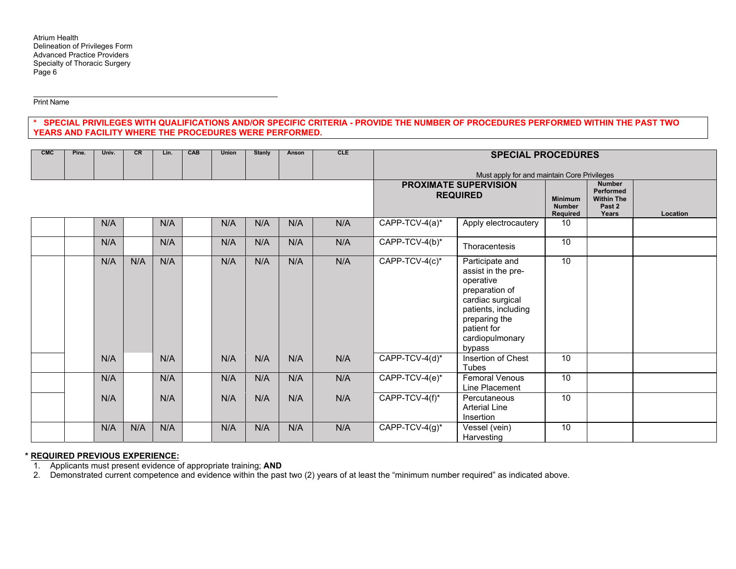Print Name

## **\* SPECIAL PRIVILEGES WITH QUALIFICATIONS AND/OR SPECIFIC CRITERIA - PROVIDE THE NUMBER OF PROCEDURES PERFORMED WITHIN THE PAST TWO YEARS AND FACILITY WHERE THE PROCEDURES WERE PERFORMED.**

| CMC | Pine. | Univ. | <b>CR</b> | Lin. | <b>CAB</b> | <b>Union</b> | Stanly | Anson | CLE | <b>SPECIAL PROCEDURES</b> |                                                                                                                                                                              |                                             |                                                                           |          |
|-----|-------|-------|-----------|------|------------|--------------|--------|-------|-----|---------------------------|------------------------------------------------------------------------------------------------------------------------------------------------------------------------------|---------------------------------------------|---------------------------------------------------------------------------|----------|
|     |       |       |           |      |            |              |        |       |     |                           | Must apply for and maintain Core Privileges<br><b>PROXIMATE SUPERVISION</b><br><b>REQUIRED</b>                                                                               | <b>Minimum</b><br><b>Number</b><br>Required | <b>Number</b><br><b>Performed</b><br><b>Within The</b><br>Past 2<br>Years | Location |
|     |       | N/A   |           | N/A  |            | N/A          | N/A    | N/A   | N/A | CAPP-TCV-4(a)*            | Apply electrocautery                                                                                                                                                         | 10                                          |                                                                           |          |
|     |       | N/A   |           | N/A  |            | N/A          | N/A    | N/A   | N/A | CAPP-TCV-4(b)*            | Thoracentesis                                                                                                                                                                | 10                                          |                                                                           |          |
|     |       | N/A   | N/A       | N/A  |            | N/A          | N/A    | N/A   | N/A | CAPP-TCV-4(c)*            | Participate and<br>assist in the pre-<br>operative<br>preparation of<br>cardiac surgical<br>patients, including<br>preparing the<br>patient for<br>cardiopulmonary<br>bypass | 10                                          |                                                                           |          |
|     |       | N/A   |           | N/A  |            | N/A          | N/A    | N/A   | N/A | CAPP-TCV-4(d)*            | Insertion of Chest<br>Tubes                                                                                                                                                  | 10                                          |                                                                           |          |
|     |       | N/A   |           | N/A  |            | N/A          | N/A    | N/A   | N/A | CAPP-TCV-4(e)*            | <b>Femoral Venous</b><br>Line Placement                                                                                                                                      | 10                                          |                                                                           |          |
|     |       | N/A   |           | N/A  |            | N/A          | N/A    | N/A   | N/A | CAPP-TCV-4(f)*            | Percutaneous<br><b>Arterial Line</b><br>Insertion                                                                                                                            | 10                                          |                                                                           |          |
|     |       | N/A   | N/A       | N/A  |            | N/A          | N/A    | N/A   | N/A | CAPP-TCV-4(g)*            | Vessel (vein)<br>Harvesting                                                                                                                                                  | 10                                          |                                                                           |          |

### **\* REQUIRED PREVIOUS EXPERIENCE:**

1. Applicants must present evidence of appropriate training; **AND**

2. Demonstrated current competence and evidence within the past two (2) years of at least the "minimum number required" as indicated above.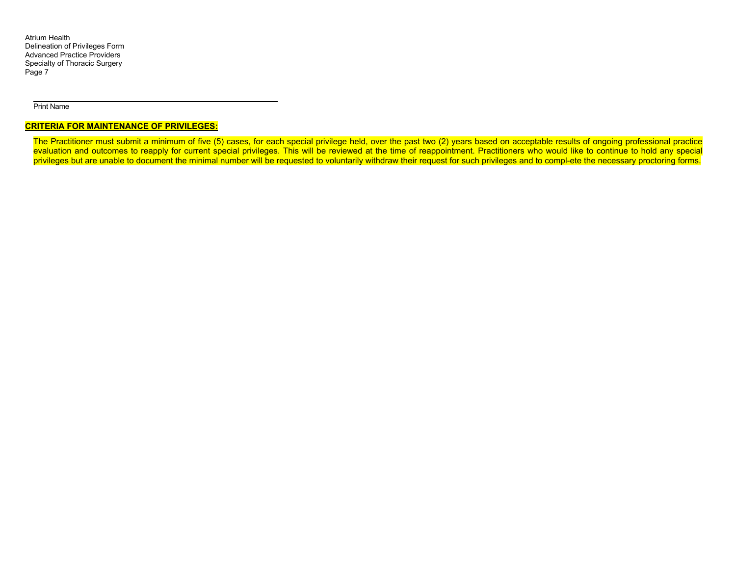### Print Name

### **CRITERIA FOR MAINTENANCE OF PRIVILEGES:**

The Practitioner must submit a minimum of five (5) cases, for each special privilege held, over the past two (2) years based on acceptable results of ongoing professional practice evaluation and outcomes to reapply for current special privileges. This will be reviewed at the time of reappointment. Practitioners who would like to continue to hold any special privileges but are unable to document the minimal number will be requested to voluntarily withdraw their request for such privileges and to compl-ete the necessary proctoring forms.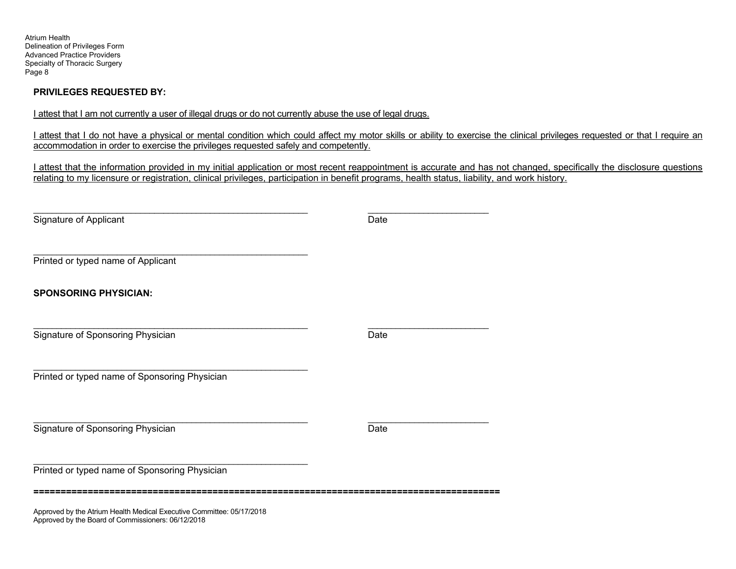# **PRIVILEGES REQUESTED BY:**

I attest that I am not currently a user of illegal drugs or do not currently abuse the use of legal drugs.

I attest that I do not have a physical or mental condition which could affect my motor skills or ability to exercise the clinical privileges requested or that I require an accommodation in order to exercise the privileges requested safely and competently.

I attest that the information provided in my initial application or most recent reappointment is accurate and has not changed, specifically the disclosure questions relating to my licensure or registration, clinical privileges, participation in benefit programs, health status, liability, and work history.

| Signature of Applicant                                                                   | Date |  |
|------------------------------------------------------------------------------------------|------|--|
|                                                                                          |      |  |
| Printed or typed name of Applicant                                                       |      |  |
| <b>SPONSORING PHYSICIAN:</b>                                                             |      |  |
| Signature of Sponsoring Physician                                                        | Date |  |
| Printed or typed name of Sponsoring Physician                                            |      |  |
| Signature of Sponsoring Physician                                                        | Date |  |
| Printed or typed name of Sponsoring Physician                                            |      |  |
| Assumed that the Athens the HI. M. Results of $\blacksquare$ . Assuming the Athletical O |      |  |

Approved by the Atrium Health Medical Executive Committee: 05/17/2018 Approved by the Board of Commissioners: 06/12/2018